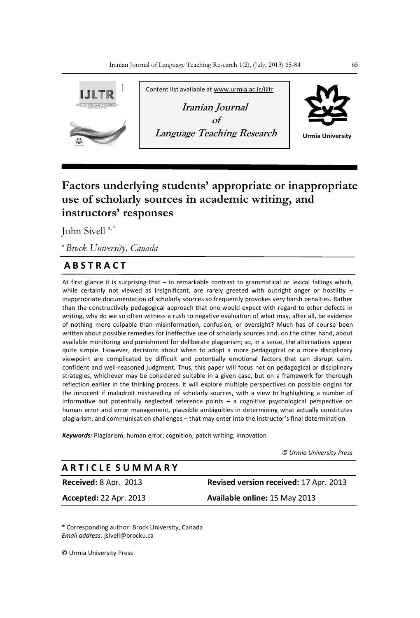

# **Factors underlying students' appropriate or inappropriate use of scholarly sources in academic writing, and instructors' responses**

John Sivell<sup>a,\*</sup>

*<sup>a</sup>Brock University, Canada*

## **A B S T R A C T**

At first glance it is surprising that – in remarkable contrast to grammatical or lexical failings which, while certainly not viewed as insignificant, are rarely greeted with outright anger or hostility – inappropriate documentation of scholarly sources so frequently provokes very harsh penalties. Rather than the constructively pedagogical approach that one would expect with regard to other defects in writing, why do we so often witness a rush to negative evaluation of what may, after all, be evidence of nothing more culpable than misinformation, confusion, or oversight? Much has of course been written about possible remedies for ineffective use of scholarly sources and, on the other hand, about available monitoring and punishment for deliberate plagiarism; so, in a sense, the alternatives appear quite simple. However, decisions about when to adopt a more pedagogical or a more disciplinary viewpoint are complicated by difficult and potentially emotional factors that can disrupt calm, confident and well-reasoned judgment. Thus, this paper will focus not on pedagogical or disciplinary strategies, whichever may be considered suitable in a given case, but on a framework for thorough reflection earlier in the thinking process. It will explore multiple perspectives on possible origins for the innocent if maladroit mishandling of scholarly sources, with a view to highlighting a number of informative but potentially neglected reference points – a cognitive psychological perspective on human error and error management, plausible ambiguities in determining what actually constitutes plagiarism, and communication challenges – that may enter into the instructor's final determination.

*Keywords:* Plagiarism; human error; cognition; patch writing; innovation

*© Urmia University Press*

### **A R T I C L E S U M M A R Y**

**Received:** 8 Apr. 2013 **Revised version received:** 17 Apr. 2013 **Accepted:** 22 Apr. 2013 **Available online:** 15 May 2013

\* Corresponding author: Brock University, Canada *Email address:* jsivell@brocku.ca

© Urmia University Press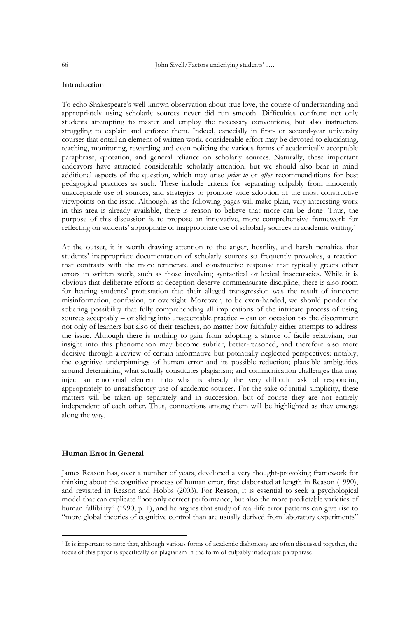#### **Introduction**

To echo Shakespeare's well-known observation about true love, the course of understanding and appropriately using scholarly sources never did run smooth. Difficulties confront not only students attempting to master and employ the necessary conventions, but also instructors struggling to explain and enforce them. Indeed, especially in first- or second-year university courses that entail an element of written work, considerable effort may be devoted to elucidating, teaching, monitoring, rewarding and even policing the various forms of academically acceptable paraphrase, quotation, and general reliance on scholarly sources. Naturally, these important endeavors have attracted considerable scholarly attention, but we should also bear in mind additional aspects of the question, which may arise *prior to* or *after* recommendations for best pedagogical practices as such. These include criteria for separating culpably from innocently unacceptable use of sources, and strategies to promote wide adoption of the most constructive viewpoints on the issue. Although, as the following pages will make plain, very interesting work in this area is already available, there is reason to believe that more can be done. Thus, the purpose of this discussion is to propose an innovative, more comprehensive framework for reflecting on students' appropriate or inappropriate use of scholarly sources in academic writing.<sup>1</sup>

At the outset, it is worth drawing attention to the anger, hostility, and harsh penalties that students' inappropriate documentation of scholarly sources so frequently provokes, a reaction that contrasts with the more temperate and constructive response that typically greets other errors in written work, such as those involving syntactical or lexical inaccuracies. While it is obvious that deliberate efforts at deception deserve commensurate discipline, there is also room for hearing students' protestation that their alleged transgression was the result of innocent misinformation, confusion, or oversight. Moreover, to be even-handed, we should ponder the sobering possibility that fully comprehending all implications of the intricate process of using sources acceptably – or sliding into unacceptable practice – can on occasion tax the discernment not only of learners but also of their teachers, no matter how faithfully either attempts to address the issue. Although there is nothing to gain from adopting a stance of facile relativism, our insight into this phenomenon may become subtler, better-reasoned, and therefore also more decisive through a review of certain informative but potentially neglected perspectives: notably, the cognitive underpinnings of human error and its possible reduction; plausible ambiguities around determining what actually constitutes plagiarism; and communication challenges that may inject an emotional element into what is already the very difficult task of responding appropriately to unsatisfactory use of academic sources. For the sake of initial simplicity, these matters will be taken up separately and in succession, but of course they are not entirely independent of each other. Thus, connections among them will be highlighted as they emerge along the way.

#### **Human Error in General**

-

James Reason has, over a number of years, developed a very thought-provoking framework for thinking about the cognitive process of human error, first elaborated at length in Reason (1990), and revisited in Reason and Hobbs (2003). For Reason, it is essential to seek a psychological model that can explicate "not only correct performance, but also the more predictable varieties of human fallibility" (1990, p. 1), and he argues that study of real-life error patterns can give rise to "more global theories of cognitive control than are usually derived from laboratory experiments"

<sup>1</sup> It is important to note that, although various forms of academic dishonesty are often discussed together, the focus of this paper is specifically on plagiarism in the form of culpably inadequate paraphrase.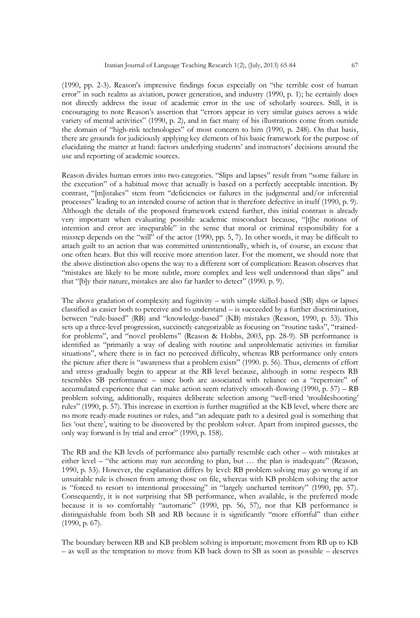(1990, pp. 2-3). Reason's impressive findings focus especially on "the terrible cost of human error" in such realms as aviation, power generation, and industry (1990, p. 1); he certainly does not directly address the issue of academic error in the use of scholarly sources. Still, it is encouraging to note Reason's assertion that "errors appear in very similar guises across a wide variety of mental activities" (1990, p. 2), and in fact many of his illustrations come from outside the domain of "high-risk technologies" of most concern to him (1990, p. 248). On that basis, there are grounds for judiciously applying key elements of his basic framework for the purpose of elucidating the matter at hand: factors underlying students' and instructors' decisions around the use and reporting of academic sources.

Reason divides human errors into two categories. "Slips and lapses" result from "some failure in the execution" of a habitual move that actually is based on a perfectly acceptable intention. By contrast, "[m]istakes" stem from "deficiencies or failures in the judgmental and/or inferential processes" leading to an intended course of action that is therefore defective in itself (1990, p. 9). Although the details of the proposed framework extend further, this initial contrast is already very important when evaluating possible academic misconduct because, "[t]he notions of intention and error are inseparable" in the sense that moral or criminal responsibility for a misstep depends on the "will" of the actor (1990, pp. 5, 7). In other words, it may be difficult to attach guilt to an action that was committed unintentionally, which is, of course, an excuse that one often hears. But this will receive more attention later. For the moment, we should note that the above distinction also opens the way to a different sort of complication: Reason observes that "mistakes are likely to be more subtle, more complex and less well understood than slips" and that "[b]y their nature, mistakes are also far harder to detect" (1990. p. 9).

The above gradation of complexity and fugitivity – with simple skilled-based (SB) slips or lapses classified as easier both to perceive and to understand – is succeeded by a further discrimination, between "rule-based" (RB) and "knowledge-based" (KB) mistakes (Reason, 1990, p. 53). This sets up a three-level progression, succinctly categorizable as focusing on "routine tasks", "trainedfor problems", and "novel problems" (Reason & Hobbs, 2003, pp. 28-9). SB performance is identified as "primarily a way of dealing with routine and unproblematic activities in familiar situations", where there is in fact no perceived difficulty, whereas RB performance only enters the picture after there is "awareness that a problem exists" (1990. p. 56). Thus, elements of effort and stress gradually begin to appear at the RB level because, although in some respects RB resembles SB performance – since both are associated with reliance on a "repertoire" of accumulated experience that can make action seem relatively smooth-flowing  $(1990, p. 57) - RB$ problem solving, additionally, requires deliberate selection among "well-tried 'troubleshooting' rules‖ (1990, p. 57). This increase in exertion is further magnified at the KB level, where there are no more ready-made routines or rules, and "an adequate path to a desired goal is something that lies 'out there', waiting to be discovered by the problem solver. Apart from inspired guesses, the only way forward is by trial and error" (1990, p. 158).

The RB and the KB levels of performance also partially resemble each other – with mistakes at either level – "the actions may run according to plan, but ... the plan is inadequate" (Reason, 1990, p. 53). However, the explanation differs by level: RB problem solving may go wrong if an unsuitable rule is chosen from among those on file, whereas with KB problem solving the actor is "forced to resort to intentional processing" in "largely uncharted territory" (1990, pp. 57). Consequently, it is not surprising that SB performance, when available, is the preferred mode because it is so comfortably "automatic" (1990, pp. 56, 57), nor that KB performance is distinguishable from both SB and RB because it is significantly "more effortful" than either (1990, p. 67).

The boundary between RB and KB problem solving is important; movement from RB up to KB – as well as the temptation to move from KB back down to SB as soon as possible – deserves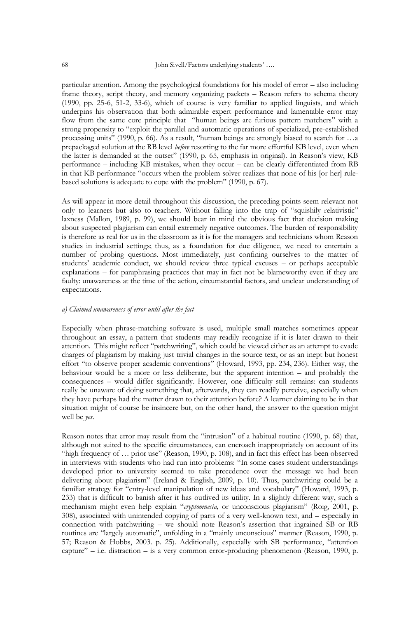particular attention. Among the psychological foundations for his model of error – also including frame theory, script theory, and memory organizing packets – Reason refers to schema theory (1990, pp. 25-6, 51-2, 33-6), which of course is very familiar to applied linguists, and which underpins his observation that both admirable expert performance and lamentable error may flow from the same core principle that "human beings are furious pattern matchers" with a strong propensity to "exploit the parallel and automatic operations of specialized, pre-established processing units" (1990, p. 66). As a result, "human beings are strongly biased to search for  $\dots$ a prepackaged solution at the RB level *before* resorting to the far more effortful KB level, even when the latter is demanded at the outset" (1990, p. 65, emphasis in original). In Reason's view, KB performance – including KB mistakes, when they occur – can be clearly differentiated from RB in that KB performance "occurs when the problem solver realizes that none of his [or her] rulebased solutions is adequate to cope with the problem" (1990, p. 67).

As will appear in more detail throughout this discussion, the preceding points seem relevant not only to learners but also to teachers. Without falling into the trap of "squishily relativistic" laxness (Mallon, 1989, p. 99), we should bear in mind the obvious fact that decision making about suspected plagiarism can entail extremely negative outcomes. The burden of responsibility is therefore as real for us in the classroom as it is for the managers and technicians whom Reason studies in industrial settings; thus, as a foundation for due diligence, we need to entertain a number of probing questions. Most immediately, just confining ourselves to the matter of students' academic conduct, we should review three typical excuses – or perhaps acceptable explanations – for paraphrasing practices that may in fact not be blameworthy even if they are faulty: unawareness at the time of the action, circumstantial factors, and unclear understanding of expectations.

#### *a) Claimed unawareness of error until after the fact*

Especially when phrase-matching software is used, multiple small matches sometimes appear throughout an essay, a pattern that students may readily recognize if it is later drawn to their attention. This might reflect "patchwriting", which could be viewed either as an attempt to evade charges of plagiarism by making just trivial changes in the source text, or as an inept but honest effort "to observe proper academic conventions" (Howard, 1993, pp. 234, 236). Either way, the behaviour would be a more or less deliberate, but the apparent intention – and probably the consequences – would differ significantly. However, one difficulty still remains: can students really be unaware of doing something that, afterwards, they can readily perceive, especially when they have perhaps had the matter drawn to their attention before? A learner claiming to be in that situation might of course be insincere but, on the other hand, the answer to the question might well be *yes*.

Reason notes that error may result from the "intrusion" of a habitual routine (1990, p. 68) that, although not suited to the specific circumstances, can encroach inappropriately on account of its "high frequency of ... prior use" (Reason, 1990, p. 108), and in fact this effect has been observed in interviews with students who had run into problems: "In some cases student understandings developed prior to university seemed to take precedence over the message we had been delivering about plagiarism" (Ireland & English, 2009, p. 10). Thus, patchwriting could be a familiar strategy for "entry-level manipulation of new ideas and vocabulary" (Howard, 1993, p. 233) that is difficult to banish after it has outlived its utility. In a slightly different way, such a mechanism might even help explain "cryptomnesia, or unconscious plagiarism" (Roig, 2001, p. 308), associated with unintended copying of parts of a very well-known text, and – especially in connection with patchwriting – we should note Reason's assertion that ingrained SB or RB routines are "largely automatic", unfolding in a "mainly unconscious" manner (Reason, 1990, p. 57; Reason & Hobbs, 2003. p. 25). Additionally, especially with SB performance, "attention capture" – i.e. distraction – is a very common error-producing phenomenon (Reason, 1990, p.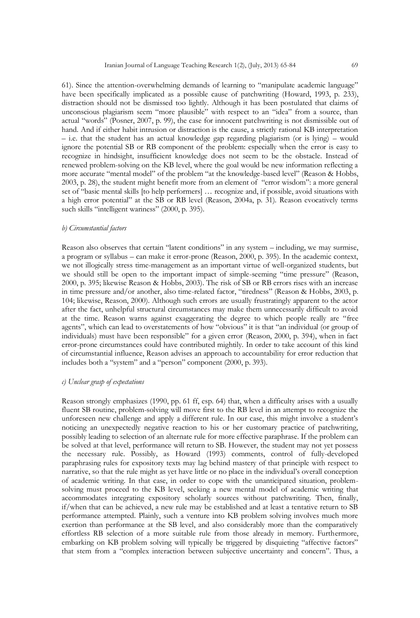61). Since the attention-overwhelming demands of learning to "manipulate academic language" have been specifically implicated as a possible cause of patchwriting (Howard, 1993, p. 233), distraction should not be dismissed too lightly. Although it has been postulated that claims of unconscious plagiarism seem "more plausible" with respect to an "idea" from a source, than actual "words" (Posner, 2007, p. 99), the case for innocent patchwriting is not dismissible out of hand. And if either habit intrusion or distraction is the cause, a strictly rational KB interpretation – i.e. that the student has an actual knowledge gap regarding plagiarism (or is lying) – would ignore the potential SB or RB component of the problem: especially when the error is easy to recognize in hindsight, insufficient knowledge does not seem to be the obstacle. Instead of renewed problem-solving on the KB level, where the goal would be new information reflecting a more accurate "mental model" of the problem "at the knowledge-based level" (Reason & Hobbs,  $2003$ , p. 28), the student might benefit more from an element of "error wisdom": a more general set of "basic mental skills [to help performers] ... recognize and, if possible, avoid situations with a high error potential" at the SB or RB level (Reason, 2004a, p. 31). Reason evocatively terms such skills "intelligent wariness" (2000, p. 395).

#### *b) Circumstantial factors*

Reason also observes that certain "latent conditions" in any system – including, we may surmise, a program or syllabus – can make it error-prone (Reason, 2000, p. 395). In the academic context, we not illogically stress time-management as an important virtue of well-organized students, but we should still be open to the important impact of simple-seeming "time pressure" (Reason, 2000, p. 395; likewise Reason & Hobbs, 2003). The risk of SB or RB errors rises with an increase in time pressure and/or another, also time-related factor, "tiredness" (Reason & Hobbs, 2003, p. 104; likewise, Reason, 2000). Although such errors are usually frustratingly apparent to the actor after the fact, unhelpful structural circumstances may make them unnecessarily difficult to avoid at the time. Reason warns against exaggerating the degree to which people really are "free agents", which can lead to overstatements of how "obvious" it is that "an individual (or group of individuals) must have been responsible" for a given error (Reason, 2000, p. 394), when in fact error-prone circumstances could have contributed mightily. In order to take account of this kind of circumstantial influence, Reason advises an approach to accountability for error reduction that includes both a "system" and a "person" component (2000, p. 393).

#### *c) Unclear grasp of expectations*

Reason strongly emphasizes (1990, pp. 61 ff, esp. 64) that, when a difficulty arises with a usually fluent SB routine, problem-solving will move first to the RB level in an attempt to recognize the unforeseen new challenge and apply a different rule. In our case, this might involve a student's noticing an unexpectedly negative reaction to his or her customary practice of patchwriting, possibly leading to selection of an alternate rule for more effective paraphrase. If the problem can be solved at that level, performance will return to SB. However, the student may not yet possess the necessary rule. Possibly, as Howard (1993) comments, control of fully-developed paraphrasing rules for expository texts may lag behind mastery of that principle with respect to narrative, so that the rule might as yet have little or no place in the individual's overall conception of academic writing. In that case, in order to cope with the unanticipated situation, problemsolving must proceed to the KB level, seeking a new mental model of academic writing that accommodates integrating expository scholarly sources without patchwriting. Then, finally, if/when that can be achieved, a new rule may be established and at least a tentative return to SB performance attempted. Plainly, such a venture into KB problem solving involves much more exertion than performance at the SB level, and also considerably more than the comparatively effortless RB selection of a more suitable rule from those already in memory. Furthermore, embarking on KB problem solving will typically be triggered by disquieting "affective factors" that stem from a "complex interaction between subjective uncertainty and concern". Thus, a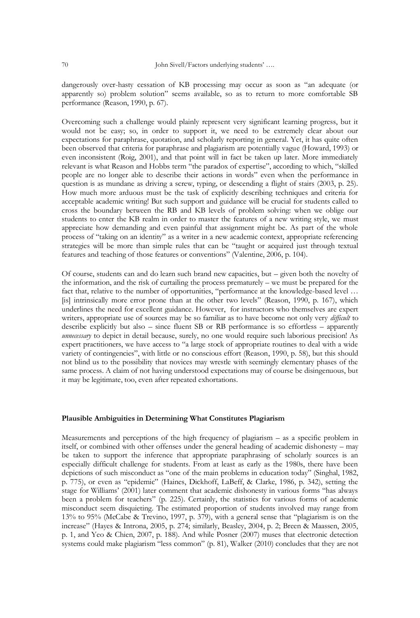dangerously over-hasty cessation of KB processing may occur as soon as "an adequate (or apparently so) problem solution" seems available, so as to return to more comfortable SB performance (Reason, 1990, p. 67).

Overcoming such a challenge would plainly represent very significant learning progress, but it would not be easy; so, in order to support it, we need to be extremely clear about our expectations for paraphrase, quotation, and scholarly reporting in general. Yet, it has quite often been observed that criteria for paraphrase and plagiarism are potentially vague (Howard, 1993) or even inconsistent (Roig, 2001), and that point will in fact be taken up later. More immediately relevant is what Reason and Hobbs term "the paradox of expertise", according to which, "skilled people are no longer able to describe their actions in words" even when the performance in question is as mundane as driving a screw, typing, or descending a flight of stairs (2003, p. 25). How much more arduous must be the task of explicitly describing techniques and criteria for acceptable academic writing! But such support and guidance will be crucial for students called to cross the boundary between the RB and KB levels of problem solving: when we oblige our students to enter the KB realm in order to master the features of a new writing style, we must appreciate how demanding and even painful that assignment might be. As part of the whole process of "taking on an identity" as a writer in a new academic context, appropriate referencing strategies will be more than simple rules that can be "taught or acquired just through textual features and teaching of those features or conventions" (Valentine, 2006, p. 104).

Of course, students can and do learn such brand new capacities, but – given both the novelty of the information, and the risk of curtailing the process prematurely – we must be prepared for the fact that, relative to the number of opportunities, "performance at the knowledge-based level ... [is] intrinsically more error prone than at the other two levels" (Reason, 1990, p. 167), which underlines the need for excellent guidance. However, for instructors who themselves are expert writers, appropriate use of sources may be so familiar as to have become not only very *difficult* to describe explicitly but also – since fluent SB or RB performance is so effortless – apparently *unnecessary* to depict in detail because, surely, no one would require such laborious precision! As expert practitioners, we have access to "a large stock of appropriate routines to deal with a wide variety of contingencies", with little or no conscious effort (Reason, 1990, p. 58), but this should not blind us to the possibility that novices may wrestle with seemingly elementary phases of the same process. A claim of not having understood expectations may of course be disingenuous, but it may be legitimate, too, even after repeated exhortations.

#### **Plausible Ambiguities in Determining What Constitutes Plagiarism**

Measurements and perceptions of the high frequency of plagiarism – as a specific problem in itself, or combined with other offenses under the general heading of academic dishonesty – may be taken to support the inference that appropriate paraphrasing of scholarly sources is an especially difficult challenge for students. From at least as early as the 1980s, there have been depictions of such misconduct as "one of the main problems in education today" (Singhal, 1982, p. 775), or even as "epidemic" (Haines, Dickhoff, LaBeff, & Clarke, 1986, p. 342), setting the stage for Williams' (2001) later comment that academic dishonesty in various forms "has always been a problem for teachers" (p. 225). Certainly, the statistics for various forms of academic misconduct seem disquieting. The estimated proportion of students involved may range from 13% to 95% (McCabe & Trevino, 1997, p. 379), with a general sense that "plagiarism is on the increase" (Hayes & Introna, 2005, p. 274; similarly, Beasley, 2004, p. 2; Breen & Maassen, 2005, p. 1, and Yeo & Chien, 2007, p. 188). And while Posner (2007) muses that electronic detection systems could make plagiarism "less common" (p. 81), Walker (2010) concludes that they are not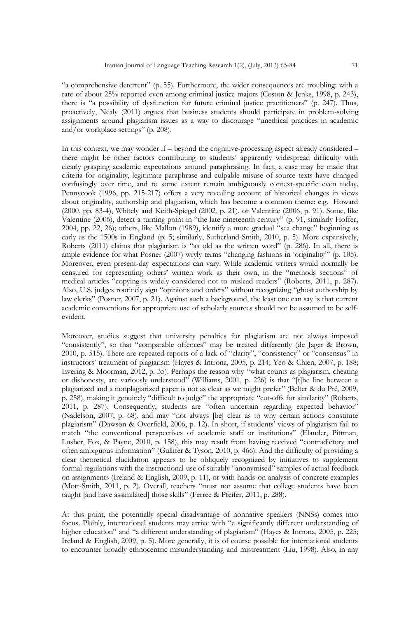"a comprehensive deterrent" (p. 55). Furthermore, the wider consequences are troubling: with a rate of about 25% reported even among criminal justice majors (Coston & Jenks, 1998, p. 243), there is "a possibility of dysfunction for future criminal justice practitioners" (p. 247). Thus, proactively, Nealy (2011) argues that business students should participate in problem-solving assignments around plagiarism issues as a way to discourage "unethical practices in academic and/or workplace settings" (p. 208).

In this context, we may wonder if – beyond the cognitive-processing aspect already considered – there might be other factors contributing to students' apparently widespread difficulty with clearly grasping academic expectations around paraphrasing. In fact, a case may be made that criteria for originality, legitimate paraphrase and culpable misuse of source texts have changed confusingly over time, and to some extent remain ambiguously context-specific even today. Pennycook (1996, pp. 215-217) offers a very revealing account of historical changes in views about originality, authorship and plagiarism, which has become a common theme: e.g. Howard (2000, pp. 83-4), Whitely and Keith-Spiegel (2002, p. 21), or Valentine (2006, p. 91). Some, like Valentine (2006), detect a turning point in "the late nineteenth century" (p. 91, similarly Hoffer,  $2004$ , pp. 22, 26); others, like Mallon (1989), identify a more gradual "sea change" beginning as early as the 1500s in England (p. 5; similarly, Sutherland-Smith, 2010, p. 5). More expansively, Roberts  $(2011)$  claims that plagiarism is "as old as the written word" (p. 286). In all, there is ample evidence for what Posner (2007) wryly terms "changing fashions in 'originality" (p. 105). Moreover, even present-day expectations can vary. While academic writers would normally be censured for representing others' written work as their own, in the "methods sections" of medical articles "copying is widely considered not to mislead readers" (Roberts, 2011, p. 287). Also, U.S. judges routinely sign "opinions and orders" without recognizing "ghost authorship by law clerks" (Posner, 2007, p. 21). Against such a background, the least one can say is that current academic conventions for appropriate use of scholarly sources should not be assumed to be selfevident.

Moreover, studies suggest that university penalties for plagiarism are not always imposed "consistently", so that "comparable offences" may be treated differently (de Jager & Brown, 2010, p. 515). There are repeated reports of a lack of "clarity", "consistency" or "consensus" in instructors' treatment of plagiarism (Hayes & Introna, 2005, p. 214; Yeo & Chien, 2007, p. 188; Evering & Moorman, 2012, p. 35). Perhaps the reason why "what counts as plagiarism, cheating or dishonesty, are variously understood" (Williams, 2001, p. 226) is that "[t]he line between a plagiarized and a nonplagiarized paper is not as clear as we might prefer" (Belter & du Pré, 2009, p. 258), making it genuinely "difficult to judge" the appropriate "cut-offs for similarity" (Roberts, 2011, p. 287). Consequently, students are "often uncertain regarding expected behavior" (Nadelson, 2007, p. 68), and may "not always [be] clear as to why certain actions constitute plagiarism" (Dawson & Overfield, 2006, p. 12). In short, if students' views of plagiarism fail to match "the conventional perspectives of academic staff or institutions" (Elander, Pittman, Lusher, Fox, & Payne, 2010, p. 158), this may result from having received "contradictory and often ambiguous information" (Gullifer & Tyson, 2010, p. 466). And the difficulty of providing a clear theoretical elucidation appears to be obliquely recognized by initiatives to supplement formal regulations with the instructional use of suitably "anonymised" samples of actual feedback on assignments (Ireland & English, 2009, p. 11), or with hands-on analysis of concrete examples (Mott-Smith, 2011, p. 2). Overall, teachers "must not assume that college students have been taught [and have assimilated] those skills" (Ferree & Pfeifer, 2011, p. 288).

At this point, the potentially special disadvantage of nonnative speakers (NNSs) comes into focus. Plainly, international students may arrive with "a significantly different understanding of higher education" and "a different understanding of plagiarism" (Hayes & Introna, 2005, p. 225; Ireland & English, 2009, p. 5). More generally, it is of course possible for international students to encounter broadly ethnocentric misunderstanding and mistreatment (Liu, 1998). Also, in any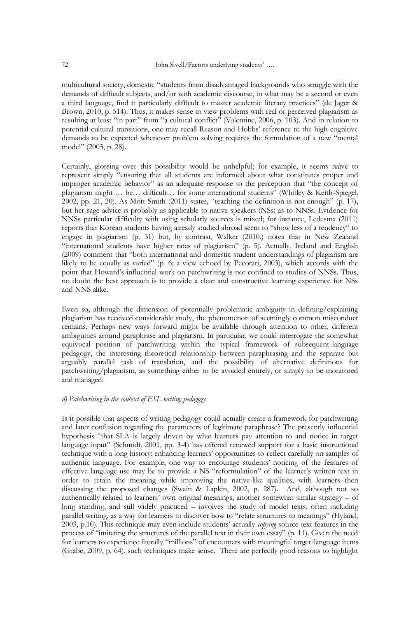multicultural society, domestic "students from disadvantaged backgrounds who struggle with the demands of difficult subjects, and/or with academic discourse, in what may be a second or even a third language, find it particularly difficult to master academic literacy practices" (de Jager & Brown, 2010, p. 514). Thus, it makes sense to view problems with real or perceived plagiarism as resulting at least "in part" from "a cultural conflict" (Valentine, 2006, p. 103). And in relation to potential cultural transitions, one may recall Reason and Hobbs' reference to the high cognitive demands to be expected whenever problem solving requires the formulation of a new "mental model" (2003, p. 28).

Certainly, glossing over this possibility would be unhelpful; for example, it seems naïve to represent simply "ensuring that all students are informed about what constitutes proper and improper academic behavior" as an adequate response to the perception that "the concept of plagiarism might ... be... difficult... for some international students" (Whitley & Keith-Spiegel, 2002, pp. 21, 20). As Mott-Smith (2011) states, "teaching the definition is not enough" (p. 17), but her sage advice is probably as applicable to native speakers (NSs) as to NNSs. Evidence for NNSs particular difficulty with using scholarly sources is mixed; for instance, Ledesma (2011) reports that Korean students having already studied abroad seem to "show less of a tendency" to engage in plagiarism (p. 31) but, by contrast, Walker (2010,) notes that in New Zealand ―international students have higher rates of plagiarism‖ (p. 5). Actually, Ireland and English (2009) comment that "both international and domestic student understandings of plagiarism are likely to be equally as varied" (p. 6; a view echoed by Pecorari, 2003), which accords with the point that Howard's influential work on patchwriting is not confined to studies of NNSs. Thus, no doubt the best approach is to provide a clear and constructive learning experience for NSs and NNS alike.

Even so, although the dimension of potentially problematic ambiguity in defining/explaining plagiarism has received considerable study, the phenomenon of seemingly common misconduct remains. Perhaps new ways forward might be available through attention to other, different ambiguities around paraphrase and plagiarism. In particular, we could interrogate the somewhat equivocal position of patchwriting within the typical framework of subsequent-language pedagogy, the interesting theoretical relationship between paraphrasing and the separate but arguably parallel task of translation, and the possibility of alternative definitions for patchwriting/plagiarism, as something either to be avoided entirely, or simply to be monitored and managed.

#### *d) Patchwriting in the context of ESL writing pedagogy*

Is it possible that aspects of writing pedagogy could actually create a framework for patchwriting and later confusion regarding the parameters of legitimate paraphrase? The presently influential hypothesis "that SLA is largely driven by what learners pay attention to and notice in target language input" (Schmidt, 2001, pp. 3-4) has offered renewed support for a basic instructional technique with a long history: enhancing learners' opportunities to reflect carefully on samples of authentic language. For example, one way to encourage students' noticing of the features of effective language use may be to provide a NS "reformulation" of the learner's written text in order to retain the meaning while improving the native-like qualities, with learners then discussing the proposed changes (Swain & Lapkin, 2002, p. 287). And, although not so authentically related to learners' own original meanings, another somewhat similar strategy – of long standing, and still widely practiced – involves the study of model texts, often including parallel writing, as a way for learners to discover how to "relate structures to meanings" (Hyland, 2003, p.10). This technique may even include students' actually *copying* source-text features in the process of "imitating the structures of the parallel text in their own essay" (p. 11). Given the need for learners to experience literally "millions" of encounters with meaningful target-language items (Grabe, 2009, p. 64), such techniques make sense. There are perfectly good reasons to highlight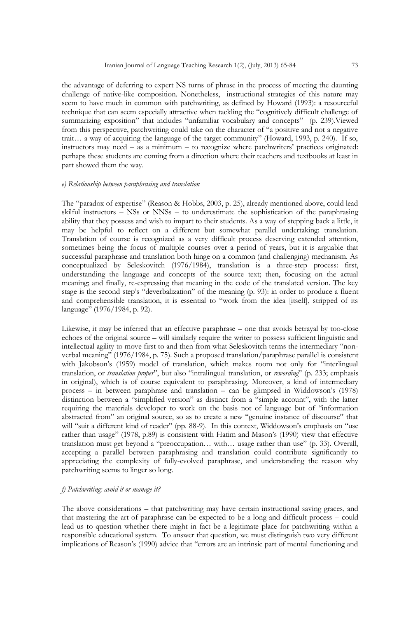the advantage of deferring to expert NS turns of phrase in the process of meeting the daunting challenge of native-like composition. Nonetheless, instructional strategies of this nature may seem to have much in common with patchwriting, as defined by Howard (1993): a resourceful technique that can seem especially attractive when tackling the "cognitively difficult challenge of summarizing exposition" that includes "unfamiliar vocabulary and concepts" (p. 239). Viewed from this perspective, patchwriting could take on the character of "a positive and not a negative trait... a way of acquiring the language of the target community" (Howard, 1993, p. 240). If so, instructors may need – as a minimum – to recognize where patchwriters' practices originated: perhaps these students are coming from a direction where their teachers and textbooks at least in part showed them the way.

#### *e) Relationship between paraphrasing and translation*

The "paradox of expertise" (Reason & Hobbs, 2003, p. 25), already mentioned above, could lead skilful instructors – NSs or NNSs – to underestimate the sophistication of the paraphrasing ability that they possess and wish to impart to their students. As a way of stepping back a little, it may be helpful to reflect on a different but somewhat parallel undertaking: translation. Translation of course is recognized as a very difficult process deserving extended attention, sometimes being the focus of multiple courses over a period of years, but it is arguable that successful paraphrase and translation both hinge on a common (and challenging) mechanism. As conceptualized by Seleskovitch (1976/1984), translation is a three-step process: first, understanding the language and concepts of the source text; then, focusing on the actual meaning; and finally, re-expressing that meaning in the code of the translated version. The key stage is the second step's "deverbalization" of the meaning (p. 93): in order to produce a fluent and comprehensible translation, it is essential to "work from the idea [itself], stripped of its language" (1976/1984, p. 92).

Likewise, it may be inferred that an effective paraphrase – one that avoids betrayal by too-close echoes of the original source – will similarly require the writer to possess sufficient linguistic and intellectual agility to move first to and then from what Seleskovitch terms the intermediary "nonverbal meaning" (1976/1984, p. 75). Such a proposed translation/paraphrase parallel is consistent with Jakobson's (1959) model of translation, which makes room not only for "interlingual translation, or *translation proper*<sup>2</sup>, but also "intralingual translation, or *rewording*" (p. 233; emphasis in original), which is of course equivalent to paraphrasing. Moreover, a kind of intermediary process – in between paraphrase and translation – can be glimpsed in Widdowson's (1978) distinction between a "simplified version" as distinct from a "simple account", with the latter requiring the materials developer to work on the basis not of language but of "information abstracted from" an original source, so as to create a new "genuine instance of discourse" that will "suit a different kind of reader" (pp. 88-9). In this context, Widdowson's emphasis on "use rather than usage" (1978, p.89) is consistent with Hatim and Mason's (1990) view that effective translation must get beyond a "preoccupation... with... usage rather than use" (p. 33). Overall, accepting a parallel between paraphrasing and translation could contribute significantly to appreciating the complexity of fully-evolved paraphrase, and understanding the reason why patchwriting seems to linger so long.

#### *f) Patchwriting: avoid it or manage it?*

The above considerations – that patchwriting may have certain instructional saving graces, and that mastering the art of paraphrase can be expected to be a long and difficult process – could lead us to question whether there might in fact be a legitimate place for patchwriting within a responsible educational system. To answer that question, we must distinguish two very different implications of Reason's (1990) advice that "errors are an intrinsic part of mental functioning and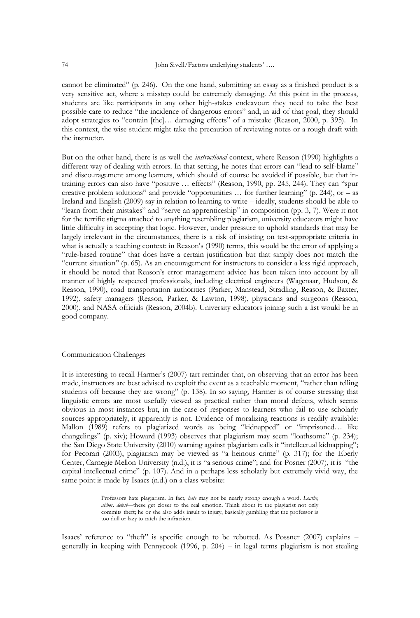cannot be eliminated" (p. 246). On the one hand, submitting an essay as a finished product is a very sensitive act, where a misstep could be extremely damaging. At this point in the process, students are like participants in any other high-stakes endeavour: they need to take the best possible care to reduce "the incidence of dangerous errors" and, in aid of that goal, they should adopt strategies to "contain [the]... damaging effects" of a mistake (Reason, 2000, p. 395). In this context, the wise student might take the precaution of reviewing notes or a rough draft with the instructor.

But on the other hand, there is as well the *instructional* context, where Reason (1990) highlights a different way of dealing with errors. In that setting, he notes that errors can "lead to self-blame" and discouragement among learners, which should of course be avoided if possible, but that intraining errors can also have "positive ... effects" (Reason, 1990, pp. 245, 244). They can "spur creative problem solutions" and provide "opportunities  $\ldots$  for further learning" (p. 244), or – as Ireland and English (2009) say in relation to learning to write – ideally, students should be able to ―learn from their mistakes‖ and ―serve an apprenticeship‖ in composition (pp. 3, 7). Were it not for the terrific stigma attached to anything resembling plagiarism, university educators might have little difficulty in accepting that logic. However, under pressure to uphold standards that may be largely irrelevant in the circumstances, there is a risk of insisting on test-appropriate criteria in what is actually a teaching context: in Reason's (1990) terms, this would be the error of applying a "rule-based routine" that does have a certain justification but that simply does not match the ―current situation‖ (p. 65). As an encouragement for instructors to consider a less rigid approach, it should be noted that Reason's error management advice has been taken into account by all manner of highly respected professionals, including electrical engineers (Wagenaar, Hudson, & Reason, 1990), road transportation authorities (Parker, Manstead, Stradling, Reason, & Baxter, 1992), safety managers (Reason, Parker, & Lawton, 1998), physicians and surgeons (Reason, 2000), and NASA officials (Reason, 2004b). University educators joining such a list would be in good company.

#### Communication Challenges

It is interesting to recall Harmer's (2007) tart reminder that, on observing that an error has been made, instructors are best advised to exploit the event as a teachable moment, "rather than telling students off because they are wrong" (p. 138). In so saying, Harmer is of course stressing that linguistic errors are most usefully viewed as practical rather than moral defects, which seems obvious in most instances but, in the case of responses to learners who fail to use scholarly sources appropriately, it apparently is not. Evidence of moralizing reactions is readily available: Mallon (1989) refers to plagiarized words as being "kidnapped" or "imprisoned... like changelings" (p. xiv); Howard (1993) observes that plagiarism may seem "loathsome" (p. 234); the San Diego State University (2010) warning against plagiarism calls it "intellectual kidnapping"; for Pecorari (2003), plagiarism may be viewed as "a heinous crime" (p. 317); for the Eberly Center, Carnegie Mellon University (n.d.), it is "a serious crime"; and for Posner (2007), it is "the capital intellectual crime" (p. 107). And in a perhaps less scholarly but extremely vivid way, the same point is made by Isaacs (n.d.) on a class website:

> Professors hate plagiarism. In fact, *hate* may not be nearly strong enough a word. *Loathe, abhor, detest*—these get closer to the real emotion. Think about it: the plagiarist not only commits theft; he or she also adds insult to injury, basically gambling that the professor is too dull or lazy to catch the infraction.

Isaacs' reference to "theft" is specific enough to be rebutted. As Possner  $(2007)$  explains – generally in keeping with Pennycook (1996, p. 204) – in legal terms plagiarism is not stealing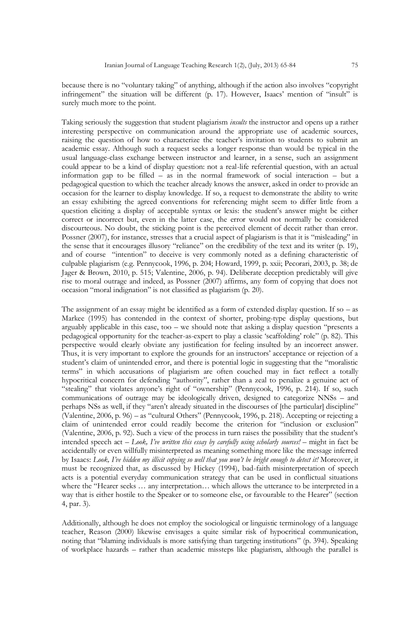because there is no "voluntary taking" of anything, although if the action also involves "copyright infringement" the situation will be different (p. 17). However, Isaacs' mention of "insult" is surely much more to the point.

Taking seriously the suggestion that student plagiarism *insults* the instructor and opens up a rather interesting perspective on communication around the appropriate use of academic sources, raising the question of how to characterize the teacher's invitation to students to submit an academic essay. Although such a request seeks a longer response than would be typical in the usual language-class exchange between instructor and learner, in a sense, such an assignment could appear to be a kind of display question: not a real-life referential question, with an actual information gap to be filled – as in the normal framework of social interaction – but a pedagogical question to which the teacher already knows the answer, asked in order to provide an occasion for the learner to display knowledge. If so, a request to demonstrate the ability to write an essay exhibiting the agreed conventions for referencing might seem to differ little from a question eliciting a display of acceptable syntax or lexis: the student's answer might be either correct or incorrect but, even in the latter case, the error would not normally be considered discourteous. No doubt, the sticking point is the perceived element of deceit rather than error. Possner (2007), for instance, stresses that a crucial aspect of plagiarism is that it is "misleading" in the sense that it encourages illusory "reliance" on the credibility of the text and its writer (p. 19), and of course "intention" to deceive is very commonly noted as a defining characteristic of culpable plagiarism (e.g. Pennycook, 1996, p. 204; Howard, 1999, p. xxii; Pecorari, 2003, p. 38; de Jager & Brown, 2010, p. 515; Valentine, 2006, p. 94). Deliberate deception predictably will give rise to moral outrage and indeed, as Possner (2007) affirms, any form of copying that does not occasion "moral indignation" is not classified as plagiarism (p. 20).

The assignment of an essay might be identified as a form of extended display question. If so – as Markee (1995) has contended in the context of shorter, probing-type display questions, but arguably applicable in this case, too – we should note that asking a display question "presents a pedagogical opportunity for the teacher-as-expert to play a classic 'scaffolding' role" (p. 82). This perspective would clearly obviate any justification for feeling insulted by an incorrect answer. Thus, it is very important to explore the grounds for an instructors' acceptance or rejection of a student's claim of unintended error, and there is potential logic in suggesting that the "moralistic terms" in which accusations of plagiarism are often couched may in fact reflect a totally hypocritical concern for defending "authority", rather than a zeal to penalize a genuine act of "stealing" that violates anyone's right of "ownership" (Pennycook, 1996, p. 214). If so, such communications of outrage may be ideologically driven, designed to categorize NNSs – and perhaps NSs as well, if they "aren't already situated in the discourses of [the particular] discipline" (Valentine, 2006, p. 96) – as "cultural Others" (Pennycook, 1996, p. 218). Accepting or rejecting a claim of unintended error could readily become the criterion for "inclusion or exclusion" (Valentine, 2006, p. 92). Such a view of the process in turn raises the possibility that the student's intended speech act – *Look, I've written this essay by carefully using scholarly sources!* – might in fact be accidentally or even willfully misinterpreted as meaning something more like the message inferred by Isaacs: *Look, I've hidden my illicit copying so well that you won't be bright enough to detect it!* Moreover, it must be recognized that, as discussed by Hickey (1994), bad-faith misinterpretation of speech acts is a potential everyday communication strategy that can be used in conflictual situations where the "Hearer seeks ... any interpretation... which allows the utterance to be interpreted in a way that is either hostile to the Speaker or to someone else, or favourable to the Hearer" (section 4, par. 3).

Additionally, although he does not employ the sociological or linguistic terminology of a language teacher, Reason (2000) likewise envisages a quite similar risk of hypocritical communication, noting that "blaming individuals is more satisfying than targeting institutions" (p. 394). Speaking of workplace hazards – rather than academic missteps like plagiarism, although the parallel is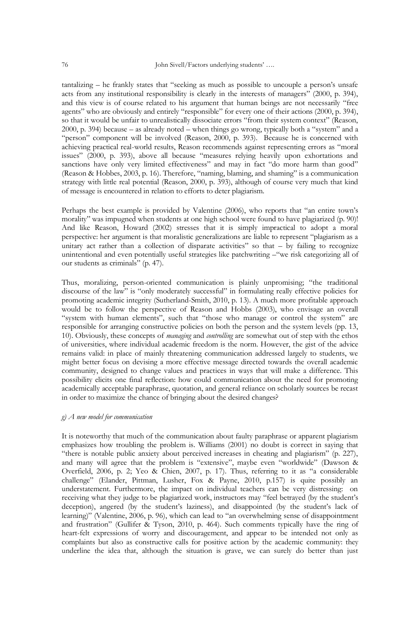$t$ antalizing – he frankly states that "seeking as much as possible to uncouple a person's unsafe acts from any institutional responsibility is clearly in the interests of managers" (2000, p. 394), and this view is of course related to his argument that human beings are not necessarily "free agents" who are obviously and entirely "responsible" for every one of their actions (2000, p. 394), so that it would be unfair to unrealistically dissociate errors "from their system context" (Reason, 2000, p. 394) because – as already noted – when things go wrong, typically both a "system" and a "person" component will be involved (Reason, 2000, p. 393). Because he is concerned with achieving practical real-world results, Reason recommends against representing errors as "moral issues" (2000, p. 393), above all because "measures relying heavily upon exhortations and sanctions have only very limited effectiveness" and may in fact "do more harm than good" (Reason & Hobbes, 2003, p. 16). Therefore, "naming, blaming, and shaming" is a communication strategy with little real potential (Reason, 2000, p. 393), although of course very much that kind of message is encountered in relation to efforts to deter plagiarism.

Perhaps the best example is provided by Valentine (2006), who reports that "an entire town's morality" was impugned when students at one high school were found to have plagiarized (p. 90)! And like Reason, Howard (2002) stresses that it is simply impractical to adopt a moral perspective: her argument is that moralistic generalizations are liable to represent "plagiarism as a unitary act rather than a collection of disparate activities" so that  $-$  by failing to recognize unintentional and even potentially useful strategies like patchwriting – "we risk categorizing all of our students as criminals" (p. 47).

Thus, moralizing, person-oriented communication is plainly unpromising; "the traditional discourse of the law" is "only moderately successful" in formulating really effective policies for promoting academic integrity (Sutherland-Smith, 2010, p. 13). A much more profitable approach would be to follow the perspective of Reason and Hobbs (2003), who envisage an overall "system with human elements", such that "those who manage or control the system" are responsible for arranging constructive policies on both the person and the system levels (pp. 13, 10). Obviously, these concepts of *managing* and *controlling* are somewhat out of step with the ethos of universities, where individual academic freedom is the norm. However, the gist of the advice remains valid: in place of mainly threatening communication addressed largely to students, we might better focus on devising a more effective message directed towards the overall academic community, designed to change values and practices in ways that will make a difference. This possibility elicits one final reflection: how could communication about the need for promoting academically acceptable paraphrase, quotation, and general reliance on scholarly sources be recast in order to maximize the chance of bringing about the desired changes?

#### *g) A new model for communication*

It is noteworthy that much of the communication about faulty paraphrase or apparent plagiarism emphasizes how troubling the problem is. Williams (2001) no doubt is correct in saying that "there is notable public anxiety about perceived increases in cheating and plagiarism" (p. 227), and many will agree that the problem is "extensive", maybe even "worldwide" (Dawson & Overfield, 2006, p. 2; Yeo & Chien, 2007, p. 17). Thus, referring to it as "a considerable challenge" (Elander, Pittman, Lusher, Fox & Payne, 2010, p.157) is quite possibly an understatement. Furthermore, the impact on individual teachers can be very distressing: on receiving what they judge to be plagiarized work, instructors may "feel betrayed (by the student's deception), angered (by the student's laziness), and disappointed (by the student's lack of learning)" (Valentine, 2006, p. 96), which can lead to "an overwhelming sense of disappointment and frustration" (Gullifer & Tyson, 2010, p. 464). Such comments typically have the ring of heart-felt expressions of worry and discouragement, and appear to be intended not only as complaints but also as constructive calls for positive action by the academic community: they underline the idea that, although the situation is grave, we can surely do better than just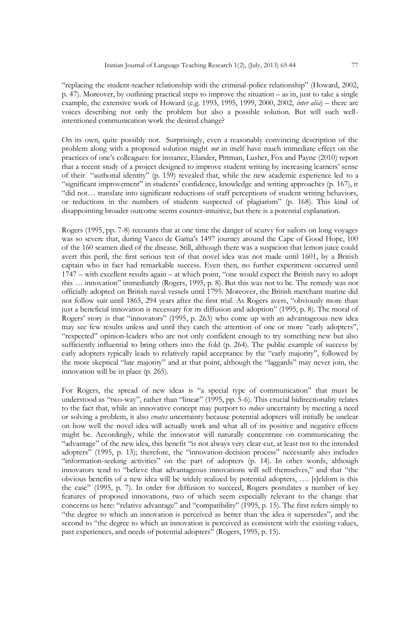―replacing the student-teacher relationship with the criminal-police relationship‖ (Howard, 2002, p. 47). Moreover, by outlining practical steps to improve the situation – as in, just to take a single example, the extensive work of Howard (e.g. 1993, 1995, 1999, 2000, 2002, *inter alia*) – there are voices describing not only the problem but also a possible solution. But will such wellintentioned communication work the desired change?

On its own, quite possibly not. Surprisingly, even a reasonably convincing description of the problem along with a proposed solution might *not* in itself have much immediate effect on the practices of one's colleagues: for instance, Elander, Pittman, Lusher, Fox and Payne (2010) report that a recent study of a project designed to improve student writing by increasing learners' sense of their "authorial identity" (p. 159) revealed that, while the new academic experience led to a ―significant improvement‖ in students' confidence, knowledge and writing approaches (p. 167), it "did not... translate into significant reductions of staff perceptions of student writing behaviors, or reductions in the numbers of students suspected of plagiarism" (p. 168). This kind of disappointing broader outcome seems counter-intuitive, but there is a potential explanation.

Rogers (1995, pp. 7-8) recounts that at one time the danger of scurvy for sailors on long voyages was so severe that, during Vasco de Gama's 1497 journey around the Cape of Good Hope, 100 of the 160 seamen died of the disease. Still, although there was a suspicion that lemon juice could avert this peril, the first serious test of that novel idea was not made until 1601, by a British captain who in fact had remarkable success. Even then, no further experiment occurred until  $1747$  – with excellent results again – at which point, "one would expect the British navy to adopt this ... innovation" immediately (Rogers, 1995, p. 8). But this was not to be. The remedy was not officially adopted on British naval vessels until 1795. Moreover, the British merchant marine did not follow suit until 1865, 294 years after the first trial. As Rogers avers, "obviously more than just a beneficial innovation is necessary for its diffusion and adoption" (1995, p. 8). The moral of Rogers' story is that "innovators" (1995, p. 263) who come up with an advantageous new idea may see few results unless and until they catch the attention of one or more "early adopters", ―respected‖ opinion-leaders who are not only confident enough to try something new but also sufficiently influential to bring others into the fold (p. 264). The public example of success by early adopters typically leads to relatively rapid acceptance by the "early majority", followed by the more skeptical "late majority" and at that point, although the "laggards" may never join, the innovation will be in place (p. 265).

For Rogers, the spread of new ideas is "a special type of communication" that must be understood as "two-way", rather than "linear" (1995, pp. 5-6). This crucial bidirectionality relates to the fact that, while an innovative concept may purport to *reduce* uncertainty by meeting a need or solving a problem, it also *creates* uncertainty because potential adopters will initially be unclear on how well the novel idea will actually work and what all of its positive and negative effects might be. Accordingly, while the innovator will naturally concentrate on communicating the "advantage" of the new idea, this benefit "is not always very clear-cut, at least not to the intended adopters" (1995, p. 13); therefore, the "innovation-decision process" necessarily also includes ―information-seeking activities‖ on the part of adopters (p. 14). In other words, although innovators tend to "believe that advantageous innovations will sell themselves," and that "the obvious benefits of a new idea will be widely realized by potential adopters, …. [s]eldom is this the case" (1995, p. 7). In order for diffusion to succeed, Rogers postulates a number of key features of proposed innovations, two of which seem especially relevant to the change that concerns us here: "relative advantage" and "compatibility" (1995, p. 15). The first refers simply to "the degree to which an innovation is perceived as better than the idea it supersedes", and the second to "the degree to which an innovation is perceived as consistent with the existing values, past experiences, and needs of potential adopters" (Rogers, 1995, p. 15).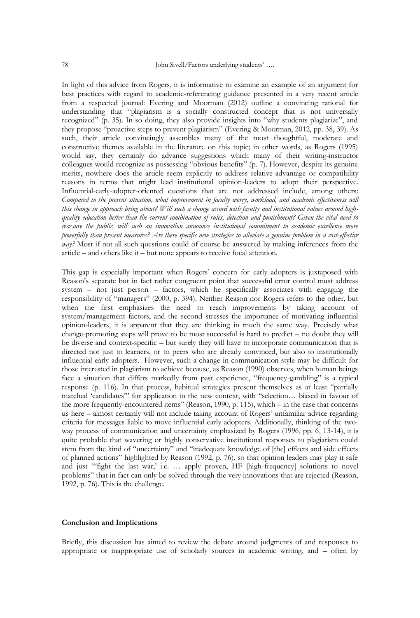In light of this advice from Rogers, it is informative to examine an example of an argument for best practices with regard to academic-referencing guidance presented in a very recent article from a respected journal: Evering and Moorman (2012) outline a convincing rational for understanding that "plagiarism is a socially constructed concept that is not universally recognized" (p. 35). In so doing, they also provide insights into "why students plagiarize", and they propose "proactive steps to prevent plagiarism" (Evering & Moorman, 2012, pp. 38, 39). As such, their article convincingly assembles many of the most thoughtful, moderate and constructive themes available in the literature on this topic; in other words, as Rogers (1995) would say, they certainly do advance suggestions which many of their writing-instructor colleagues would recognize as possessing "obvious benefits" (p. 7). However, despite its genuine merits, nowhere does the article seem explicitly to address relative-advantage or compatibility reasons in terms that might lead institutional opinion-leaders to adopt their perspective. Influential-early-adopter-oriented questions that are not addressed include, among others: *Compared to the present situation, what improvement in faculty worry, workload, and academic effectiveness will this change in approach bring about? Will such a change accord with faculty and institutional values around highquality education better than the current combination of rules, detection and punishment? Given the vital need to reassure the public, will such an innovation announce institutional commitment to academic excellence more powerfully than present measures? Are there specific new strategies to alleviate a genuine problem in a cost-effective way?* Most if not all such questions could of course be answered by making inferences from the article – and others like it – but none appears to receive focal attention.

This gap is especially important when Rogers' concern for early adopters is juxtaposed with Reason's separate but in fact rather congruent point that successful error control must address system – not just person – factors, which he specifically associates with engaging the responsibility of "managers" (2000, p. 394). Neither Reason nor Rogers refers to the other, but when the first emphasizes the need to reach improvements by taking account of system/management factors, and the second stresses the importance of motivating influential opinion-leaders, it is apparent that they are thinking in much the same way. Precisely what change-promoting steps will prove to be most successful is hard to predict – no doubt they will be diverse and context-specific – but surely they will have to incorporate communication that is directed not just to learners, or to peers who are already convinced, but also to institutionally influential early adopters. However, such a change in communication style may be difficult for those interested in plagiarism to achieve because, as Reason (1990) observes, when human beings face a situation that differs markedly from past experience, "frequency-gambling" is a typical response (p. 116). In that process, habitual strategies present themselves as at least "partially matched 'candidates" for application in the new context, with "selection... biased in favour of the more frequently-encountered items" (Reason, 1990, p. 115), which – in the case that concerns us here – almost certainly will not include taking account of Rogers' unfamiliar advice regarding criteria for messages liable to move influential early adopters. Additionally, thinking of the twoway process of communication and uncertainty emphasized by Rogers (1996, pp. 6, 13-14), it is quite probable that wavering or highly conservative institutional responses to plagiarism could stem from the kind of "uncertainty" and "inadequate knowledge of [the] effects and side effects of planned actions" highlighted by Reason (1992, p. 76), so that opinion leaders may play it safe and just ""fight the last war,' i.e. ... apply proven, HF [high-frequency] solutions to novel problems‖ that in fact can only be solved through the very innovations that are rejected (Reason, 1992, p. 76). This is the challenge.

#### **Conclusion and Implications**

Briefly, this discussion has aimed to review the debate around judgments of and responses to appropriate or inappropriate use of scholarly sources in academic writing, and – often by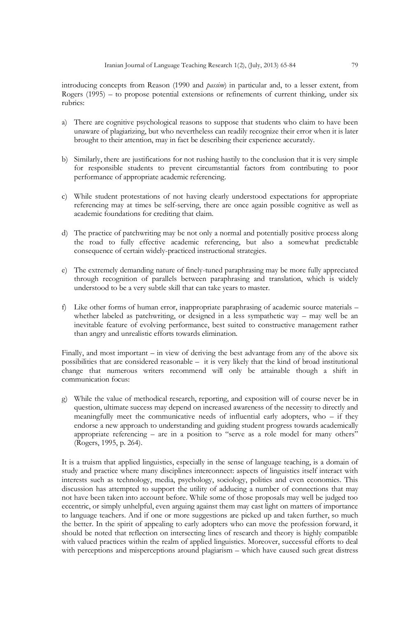introducing concepts from Reason (1990 and *passim*) in particular and, to a lesser extent, from Rogers (1995) – to propose potential extensions or refinements of current thinking, under six rubrics:

- a) There are cognitive psychological reasons to suppose that students who claim to have been unaware of plagiarizing, but who nevertheless can readily recognize their error when it is later brought to their attention, may in fact be describing their experience accurately.
- b) Similarly, there are justifications for not rushing hastily to the conclusion that it is very simple for responsible students to prevent circumstantial factors from contributing to poor performance of appropriate academic referencing.
- c) While student protestations of not having clearly understood expectations for appropriate referencing may at times be self-serving, there are once again possible cognitive as well as academic foundations for crediting that claim.
- d) The practice of patchwriting may be not only a normal and potentially positive process along the road to fully effective academic referencing, but also a somewhat predictable consequence of certain widely-practiced instructional strategies.
- e) The extremely demanding nature of finely-tuned paraphrasing may be more fully appreciated through recognition of parallels between paraphrasing and translation, which is widely understood to be a very subtle skill that can take years to master.
- f) Like other forms of human error, inappropriate paraphrasing of academic source materials whether labeled as patchwriting, or designed in a less sympathetic way – may well be an inevitable feature of evolving performance, best suited to constructive management rather than angry and unrealistic efforts towards elimination.

Finally, and most important – in view of deriving the best advantage from any of the above six possibilities that are considered reasonable – it is very likely that the kind of broad institutional change that numerous writers recommend will only be attainable though a shift in communication focus:

g) While the value of methodical research, reporting, and exposition will of course never be in question, ultimate success may depend on increased awareness of the necessity to directly and meaningfully meet the communicative needs of influential early adopters, who – if they endorse a new approach to understanding and guiding student progress towards academically appropriate referencing – are in a position to "serve as a role model for many others" (Rogers, 1995, p. 264).

It is a truism that applied linguistics, especially in the sense of language teaching, is a domain of study and practice where many disciplines interconnect: aspects of linguistics itself interact with interests such as technology, media, psychology, sociology, politics and even economics. This discussion has attempted to support the utility of adducing a number of connections that may not have been taken into account before. While some of those proposals may well be judged too eccentric, or simply unhelpful, even arguing against them may cast light on matters of importance to language teachers. And if one or more suggestions are picked up and taken further, so much the better. In the spirit of appealing to early adopters who can move the profession forward, it should be noted that reflection on intersecting lines of research and theory is highly compatible with valued practices within the realm of applied linguistics. Moreover, successful efforts to deal with perceptions and misperceptions around plagiarism – which have caused such great distress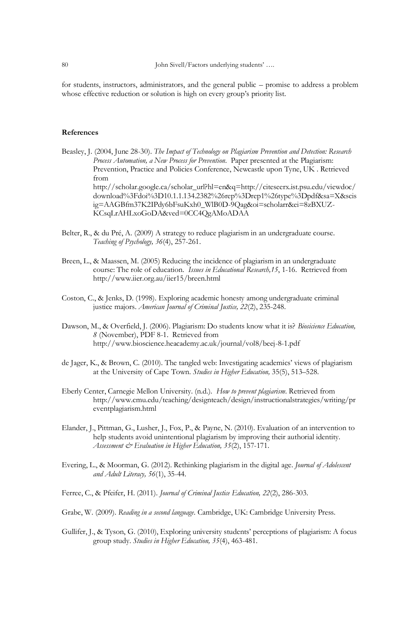for students, instructors, administrators, and the general public – promise to address a problem whose effective reduction or solution is high on every group's priority list.

#### **References**

Beasley, J. (2004, June 28-30). *The Impact of Technology on Plagiarism Prevention and Detection: Research Process Automation, a New Process for Prevention*. Paper presented at the Plagiarism: Prevention, Practice and Policies Conference, Newcastle upon Tyne, UK . Retrieved from http://scholar.google.ca/scholar\_url?hl=en&q=http://citeseerx.ist.psu.edu/viewdoc/ download%3Fdoi%3D10.1.1.134.2382%26rep%3Drep1%26type%3Dpdf&sa=X&scis ig=AAGBfm37K2IPdy6bFsuKxh0\_WlB0D-9Qag&oi=scholarr&ei=8zBXUZ-KCsqLrAHLxoGoDA&ved=0CC4QgAMoADAA

- Belter, R., & du Pré, A. (2009) A strategy to reduce plagiarism in an undergraduate course. *Teaching of Psychology, 36*(4), 257-261.
- Breen, L., & Maassen, M. (2005) Reducing the incidence of plagiarism in an undergraduate course: The role of education. *Issues in Educational Research,15*, 1-16. Retrieved from http://www.iier.org.au/iier15/breen.html
- Coston, C., & Jenks, D. (1998). Exploring academic honesty among undergraduate criminal justice majors. *American Journal of Criminal Justice, 22*(2), 235-248.
- Dawson, M., & Overfield, J. (2006). Plagiarism: Do students know what it is? *Biosicience Education, 8* (November), PDF 8-1. Retrieved from http://www.bioscience.heacademy.ac.uk/journal/vol8/beej-8-1.pdf
- de Jager, K., & Brown, C. (2010). The tangled web: Investigating academics' views of plagiarism at the University of Cape Town. *Studies in Higher Education,* 35(5), 513–528.
- Eberly Center, Carnegie Mellon University. (n.d.). *How to prevent plagiarism*. Retrieved from http://www.cmu.edu/teaching/designteach/design/instructionalstrategies/writing/pr eventplagiarism.html
- Elander, J., Pittman, G., Lusher, J., Fox, P., & Payne, N. (2010). Evaluation of an intervention to help students avoid unintentional plagiarism by improving their authorial identity. *Assessment & Evaluation in Higher Education, 35*(2), 157-171.
- Evering, L., & Moorman, G. (2012). Rethinking plagiarism in the digital age. *Journal of Adolescent and Adult Literacy, 56*(1), 35-44.
- Ferree, C., & Pfeifer, H. (2011). *Journal of Criminal Justice Education, 22*(2), 286-303.
- Grabe, W. (2009). *Reading in a second language*. Cambridge, UK: Cambridge University Press.
- Gullifer, J., & Tyson, G. (2010), Exploring university students' perceptions of plagiarism: A focus group study. *Studies in Higher Education, 35*(4), 463-481.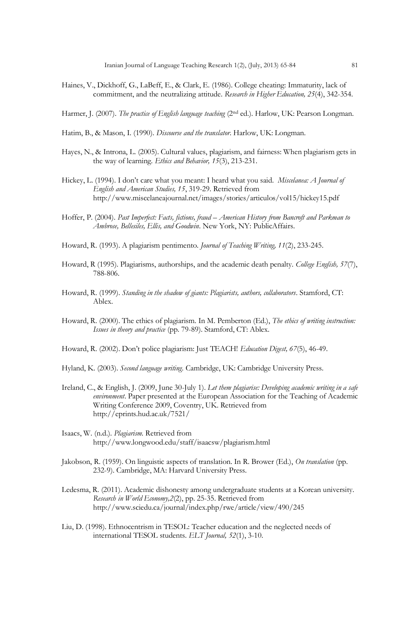- Haines, V., Dickhoff, G., LaBeff, E., & Clark, E. (1986). College cheating: Immaturity, lack of commitment, and the neutralizing attitude. *Research in Higher Education, 25*(4), 342-354.
- Harmer, J. (2007). *The practice of English language teaching* (2nd ed.). Harlow, UK: Pearson Longman.
- Hatim, B., & Mason, I. (1990). *Discourse and the translator*. Harlow, UK: Longman.
- Hayes, N., & Introna, L. (2005). Cultural values, plagiarism, and fairness: When plagiarism gets in the way of learning. *Ethics and Behavior, 15*(3), 213-231.
- Hickey, L. (1994). I don't care what you meant: I heard what you said. *Miscelanea: A Journal of English and American Studies, 15*, 319-29. Retrieved from http://www.miscelaneajournal.net/images/stories/articulos/vol15/hickey15.pdf
- Hoffer, P. (2004). *Past Imperfect: Facts, fictions, fraud – American History from Bancroft and Parkman to Ambrose, Bellesiles, Ellis, and Goodwin*. New York, NY: PublicAffairs.
- Howard, R. (1993). A plagiarism pentimento. *Journal of Teaching Writing, 11*(2), 233-245.
- Howard, R (1995). Plagiarisms, authorships, and the academic death penalty. *College English, 57*(7), 788-806.
- Howard, R. (1999). *Standing in the shadow of giants: Plagiarists, authors, collaborators*. Stamford, CT: Ablex.
- Howard, R. (2000). The ethics of plagiarism. In M. Pemberton (Ed.), *The ethics of writing instruction: Issues in theory and practice* (pp. 79-89). Stamford, CT: Ablex.
- Howard, R. (2002). Don't police plagiarism: Just TEACH! *Education Digest, 67*(5), 46-49.
- Hyland, K. (2003). *Second language writing*. Cambridge, UK: Cambridge University Press.
- Ireland, C., & English, J. (2009, June 30-July 1). *Let them plagiarise: Developing academic writing in a safe environment*. Paper presented at the European Association for the Teaching of Academic Writing Conference 2009, Coventry, UK. Retrieved from http://eprints.hud.ac.uk/7521/
- Isaacs, W. (n.d.). *Plagiarism.* Retrieved from http://www.longwood.edu/staff/isaacsw/plagiarism.html
- Jakobson, R. (1959). On linguistic aspects of translation. In R. Brower (Ed.), *On translation* (pp. 232-9). Cambridge, MA: Harvard University Press.
- Ledesma, R. (2011). Academic dishonesty among undergraduate students at a Korean university. *Research in World Economy,2*(2), pp. 25-35. Retrieved from http://www.sciedu.ca/journal/index.php/rwe/article/view/490/245
- Liu, D. (1998). Ethnocentrism in TESOL: Teacher education and the neglected needs of international TESOL students. *ELT Journal, 52*(1), 3-10.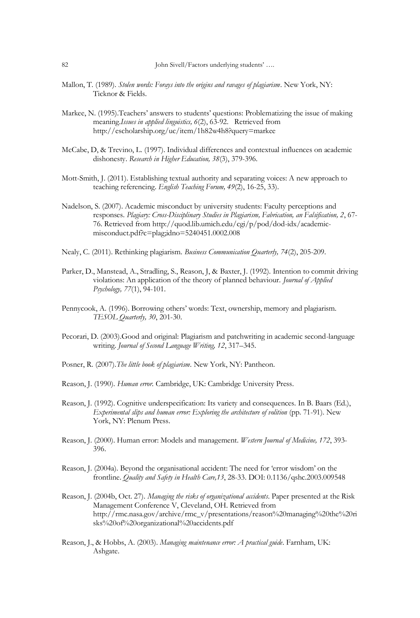- Mallon, T. (1989). *Stolen words: Forays into the origins and ravages of plagiarism*. New York, NY: Ticknor & Fields.
- Markee, N. (1995).Teachers' answers to students' questions: Problematizing the issue of making meaning.*Issues in applied linguistics, 6*(2), 63-92. Retrieved from http://escholarship.org/uc/item/1h82w4h8?query=markee
- McCabe, D, & Trevino, L. (1997). Individual differences and contextual influences on academic dishonesty. *Research in Higher Education, 38*(3), 379-396.
- Mott-Smith, J. (2011). Establishing textual authority and separating voices: A new approach to teaching referencing. *English Teaching Forum, 49*(2), 16-25, 33).
- Nadelson, S. (2007). Academic misconduct by university students: Faculty perceptions and responses. *Plagiary: Cross-Disciplinary Studies in Plagiarism, Fabrication, an Falsification, 2*, 67- 76. Retrieved from http://quod.lib.umich.edu/cgi/p/pod/dod-idx/academicmisconduct.pdf?c=plag;idno=5240451.0002.008
- Nealy, C. (2011). Rethinking plagiarism. *Business Communication Quarterly, 74*(2), 205-209.
- Parker, D., Manstead, A., Stradling, S., Reason, J, & Baxter, J. (1992). Intention to commit driving violations: An application of the theory of planned behaviour. *Journal of Applied Psychology, 77*(1), 94-101.
- Pennycook, A. (1996). Borrowing others' words: Text, ownership, memory and plagiarism. *TESOL Quarterly, 30*, 201-30.
- Pecorari, D. (2003).Good and original: Plagiarism and patchwriting in academic second-language writing. *Journal of Second Language Writing, 12*, 317–345.
- Posner, R. (2007).*The little book of plagiarism*. New York, NY: Pantheon.
- Reason, J. (1990). *Human error*. Cambridge, UK: Cambridge University Press.
- Reason, J. (1992). Cognitive underspecification: Its variety and consequences. In B. Baars (Ed.), *Experimental slips and human error: Exploring the architecture of volition* (pp. 71-91). New York, NY: Plenum Press.
- Reason, J. (2000). Human error: Models and management. *Western Journal of Medicine, 172*, 393- 396.
- Reason, J. (2004a). Beyond the organisational accident: The need for ‗error wisdom' on the frontline. *Quality and Safety in Health Care,13*, 28-33. DOI: 0.1136/qshc.2003.009548
- Reason, J. (2004b, Oct. 27). *Managing the risks of organizational accidents*. Paper presented at the Risk Management Conference V, Cleveland, OH. Retrieved from http://rmc.nasa.gov/archive/rmc\_v/presentations/reason%20managing%20the%20ri sks%20of%20organizational%20accidents.pdf
- Reason, J., & Hobbs, A. (2003). *Managing maintenance error: A practical guide*. Farnham, UK: Ashgate.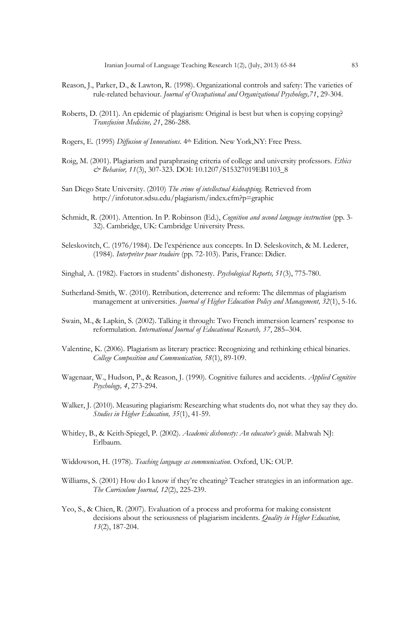- Reason, J., Parker, D., & Lawton, R. (1998). Organizational controls and safety: The varieties of rule-related behaviour. *Journal of Occupational and Organizational Psychology,71*, 29-304.
- Roberts, D. (2011). An epidemic of plagiarism: Original is best but when is copying copying? *Transfusion Medicine, 21*, 286-288.
- Rogers, E. (1995) *Diffusion of Innovations*. 4th Edition. New York,NY: Free Press.
- Roig, M. (2001). Plagiarism and paraphrasing criteria of college and university professors. *Ethics & Behavior, 11*(3), 307-323. DOI: 10.1207/S15327019EB1103\_8
- San Diego State University. (2010) *The crime of intellectual kidnapping*. Retrieved from http://infotutor.sdsu.edu/plagiarism/index.cfm?p=graphic
- Schmidt, R. (2001). Attention. In P. Robinson (Ed.), *Cognition and second language instruction* (pp. 3- 32). Cambridge, UK: Cambridge University Press.
- Seleskovitch, C. (1976/1984). De l'expérience aux concepts. In D. Seleskovitch, & M. Lederer, (1984). *Interpréter pour traduire* (pp. 72-103). Paris, France: Didier.
- Singhal, A. (1982). Factors in students' dishonesty. *Psychological Reports, 51*(3), 775-780.
- Sutherland-Smith, W. (2010). Retribution, deterrence and reform: The dilemmas of plagiarism management at universities. *Journal of Higher Education Policy and Management, 32*(1), 5-16.
- Swain, M., & Lapkin, S. (2002). Talking it through: Two French immersion learners' response to reformulation. *International Journal of Educational Research, 37*, 285–304.
- Valentine, K. (2006). Plagiarism as literary practice: Recognizing and rethinking ethical binaries. *College Composition and Communication, 58*(1), 89-109.
- Wagenaar, W., Hudson, P., & Reason, J. (1990). Cognitive failures and accidents. *Applied Cognitive Psychology, 4*, 273-294.
- Walker, J. (2010). Measuring plagiarism: Researching what students do, not what they say they do. *Studies in Higher Education, 35*(1), 41-59.
- Whitley, B., & Keith-Spiegel, P. (2002). *Academic dishonesty: An educator's guide*. Mahwah NJ: Erlbaum.
- Widdowson, H. (1978). *Teaching language as communication*. Oxford, UK: OUP.
- Williams, S. (2001) How do I know if they're cheating? Teacher strategies in an information age. *The Curriculum Journal, 12*(2), 225-239.
- Yeo, S., & Chien, R. (2007). Evaluation of a process and proforma for making consistent decisions about the seriousness of plagiarism incidents. *Quality in Higher Education, 13*(2), 187-204.